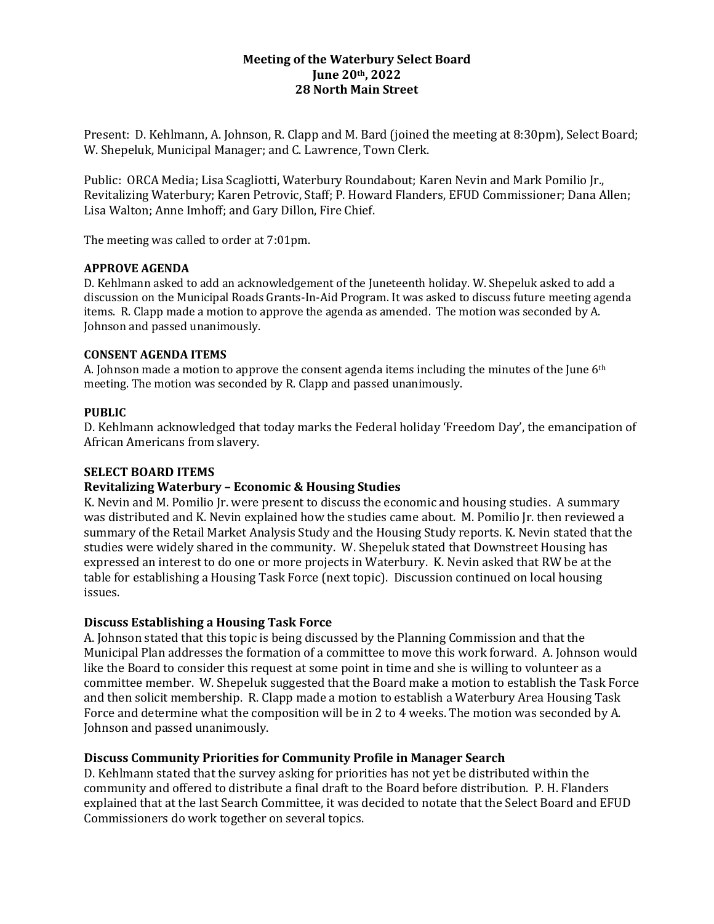# **Meeting of the Waterbury Select Board June 20th, 2022 28 North Main Street**

Present: D. Kehlmann, A. Johnson, R. Clapp and M. Bard (joined the meeting at 8:30pm), Select Board; W. Shepeluk, Municipal Manager; and C. Lawrence, Town Clerk.

Public: ORCA Media; Lisa Scagliotti, Waterbury Roundabout; Karen Nevin and Mark Pomilio Jr., Revitalizing Waterbury; Karen Petrovic, Staff; P. Howard Flanders, EFUD Commissioner; Dana Allen; Lisa Walton; Anne Imhoff; and Gary Dillon, Fire Chief.

The meeting was called to order at 7:01pm.

# **APPROVE AGENDA**

D. Kehlmann asked to add an acknowledgement of the Juneteenth holiday. W. Shepeluk asked to add a discussion on the Municipal Roads Grants-In-Aid Program. It was asked to discuss future meeting agenda items. R. Clapp made a motion to approve the agenda as amended. The motion was seconded by A. Johnson and passed unanimously.

# **CONSENT AGENDA ITEMS**

A. Johnson made a motion to approve the consent agenda items including the minutes of the June 6th meeting. The motion was seconded by R. Clapp and passed unanimously.

# **PUBLIC**

D. Kehlmann acknowledged that today marks the Federal holiday 'Freedom Day', the emancipation of African Americans from slavery.

# **SELECT BOARD ITEMS**

# **Revitalizing Waterbury – Economic & Housing Studies**

K. Nevin and M. Pomilio Jr. were present to discuss the economic and housing studies. A summary was distributed and K. Nevin explained how the studies came about. M. Pomilio Jr. then reviewed a summary of the Retail Market Analysis Study and the Housing Study reports. K. Nevin stated that the studies were widely shared in the community. W. Shepeluk stated that Downstreet Housing has expressed an interest to do one or more projects in Waterbury. K. Nevin asked that RW be at the table for establishing a Housing Task Force (next topic). Discussion continued on local housing issues.

# **Discuss Establishing a Housing Task Force**

A. Johnson stated that this topic is being discussed by the Planning Commission and that the Municipal Plan addresses the formation of a committee to move this work forward. A. Johnson would like the Board to consider this request at some point in time and she is willing to volunteer as a committee member. W. Shepeluk suggested that the Board make a motion to establish the Task Force and then solicit membership. R. Clapp made a motion to establish a Waterbury Area Housing Task Force and determine what the composition will be in 2 to 4 weeks. The motion was seconded by A. Johnson and passed unanimously.

# **Discuss Community Priorities for Community Profile in Manager Search**

D. Kehlmann stated that the survey asking for priorities has not yet be distributed within the community and offered to distribute a final draft to the Board before distribution. P. H. Flanders explained that at the last Search Committee, it was decided to notate that the Select Board and EFUD Commissioners do work together on several topics.